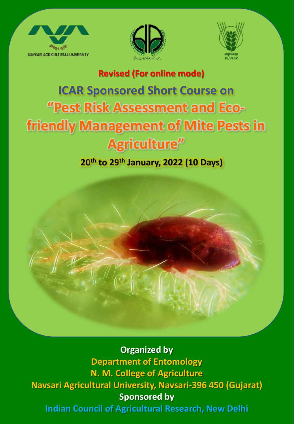





### **Revised (For online mode)**

# **ICAR Sponsored Short Course on "Pest Risk Assessment and Ecofriendly Management of Mite Pests in Agriculture"**

## **20th to 29th January, 2022 (10 Days)**

**Organized by Department of Entomology N. M. College of Agriculture Navsari Agricultural University, Navsari-396 450 (Gujarat) Sponsored by Indian Council of Agricultural Research, New Delhi**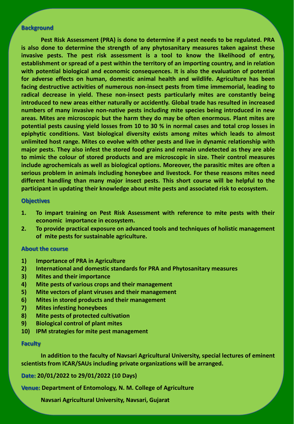#### **Background**

**Pest Risk Assessment (PRA) is done to determine if a pest needs to be regulated. PRA is also done to determine the strength of any phytosanitary measures taken against these invasive pests. The pest risk assessment is a tool to know the likelihood of entry, establishment or spread of a pest within the territory of an importing country, and in relation with potential biological and economic consequences. It is also the evaluation of potential for adverse effects on human, domestic animal health and wildlife. Agriculture has been facing destructive activities of numerous non-insect pests from time immemorial, leading to radical decrease in yield. These non-insect pests particularly mites are constantly being introduced to new areas either naturally or accidently. Global trade has resulted in increased numbers of many invasive non-native pests including mite species being introduced in new areas. Mites are microscopic but the harm they do may be often enormous. Plant mites are potential pests causing yield losses from 10 to 30 % in normal cases and total crop losses in epiphytic conditions. Vast biological diversity exists among mites which leads to almost unlimited host range. Mites co evolve with other pests and live in dynamic relationship with major pests. They also infest the stored food grains and remain undetected as they are able to mimic the colour of stored products and are microscopic in size. Their control measures include agrochemicals as well as biological options. Moreover, the parasitic mites are often a serious problem in animals including honeybee and livestock. For these reasons mites need different handling than many major insect pests. This short course will be helpful to the participant in updating their knowledge about mite pests and associated risk to ecosystem.**

#### **Objectives**

- **1. To impart training on Pest Risk Assessment with reference to mite pests with their economic importance in ecosystem.**
- **2. To provide practical exposure on advanced tools and techniques of holistic management of mite pests for sustainable agriculture.**

#### **About the course**

- **1) Importance of PRA in Agriculture**
- **2) International and domestic standards for PRA and Phytosanitary measures**
- **3) Mites and their importance**
- **4) Mite pests of various crops and their management**
- **5) Mite vectors of plant viruses and their management**
- **6) Mites in stored products and their management**
- **7) Mites infesting honeybees**
- **8) Mite pests of protected cultivation**
- **9) Biological control of plant mites**
- **10) IPM strategies for mite pest management**

#### **Faculty**

**In addition to the faculty of Navsari Agricultural University, special lectures of eminent scientists from ICAR/SAUs including private organizations will be arranged.**

**Date: 20/01/2022 to 29/01/2022 (10 Days)**

**Venue: Department of Entomology, N. M. College of Agriculture**

**Navsari Agricultural University, Navsari, Gujarat**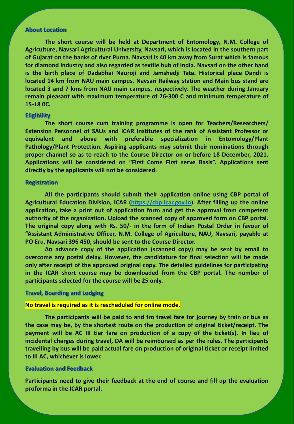#### **About Location**

**The short course will be held at Department of Entomology, N.M. College of Agriculture, Navsari Agricultural University, Navsari, which is located in the southern part of Gujarat on the banks of river Purna. Navsari is 40 km away from Surat which is famous for diamond industry and also regarded as textile hub of India. Navsari on the other hand is the birth place of Dadabhai Nauroji and Jamshedji Tata. Historical place Dandi is located 14 km from NAU main campus. Navsari Railway station and Main bus stand are located 3 and 7 kms from NAU main campus, respectively. The weather during January remain pleasant with maximum temperature of 26-300 C and minimum temperature of 15-18 0C.**

#### **Eligibility**

**The short course cum training programme is open for Teachers/Researchers/ Extension Personnel of SAUs and ICAR Institutes of the rank of Assistant Professor or equivalent and above with preferable specialization in Entomology/Plant Pathology/Plant Protection. Aspiring applicants may submit their nominations through proper channel so as to reach to the Course Director on or before 18 December, 2021. Applications will be considered on "First Come First serve Basis". Applications sent directly by the applicants will not be considered.**

#### **Registration**

**All the participants should submit their application online using CBP portal of Agricultural Education Division, ICAR ([https://cbp.icar.gov.in](https://cbp.icar.gov.in/)). After filling up the online application, take a print out of application form and get the approval from competent authority of the organization. Upload the scanned copy of approved form on CBP portal. The original copy along with Rs. 50/- in the form of Indian Postal Order in favour of "Assistant Administrative Officer, N.M. College of Agriculture, NAU, Navsari, payable at PO Eru, Navsari 396 450, should be sent to the Course Director.**

**An advance copy of the application (scanned copy) may be sent by email to overcome any postal delay. However, the candidature for final selection will be made only after receipt of the approved original copy. The detailed guidelines for participating in the ICAR short course may be downloaded from the CBP portal. The number of participants selected for the course will be 25 only.**

#### **Travel, Boarding and Lodging**

#### **No travel is required as it is rescheduled for online mode.**

**The participants will be paid to and fro travel fare for journey by train or bus as the case may be, by the shortest route on the production of original ticket/receipt. The payment will be AC III tier fare on production of a copy of the ticket(s). In lieu of incidental charges during travel, DA will be reimbursed as per the rules. The participants travelling by bus will be paid actual fare on production of original ticket or receipt limited to III AC, whichever is lower.**

#### **Evaluation and Feedback**

**Participants need to give their feedback at the end of course and fill up the evaluation proforma in the ICAR portal.**